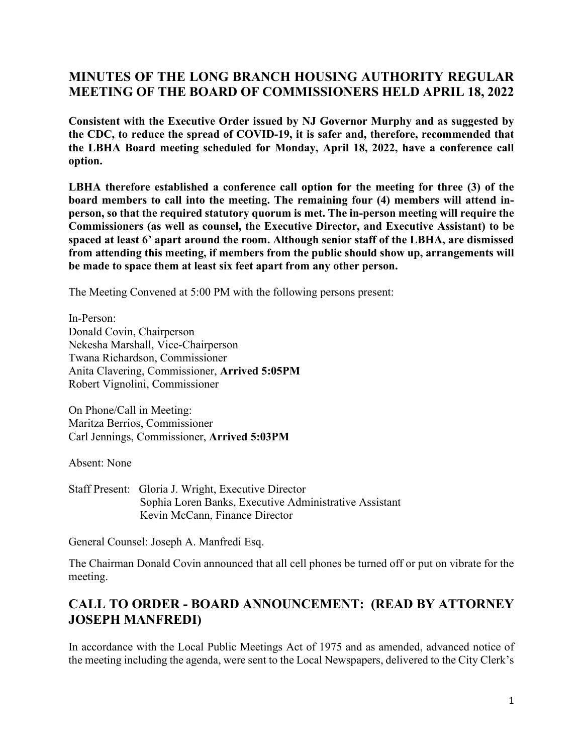# **MINUTES OF THE LONG BRANCH HOUSING AUTHORITY REGULAR MEETING OF THE BOARD OF COMMISSIONERS HELD APRIL 18, 2022**

**Consistent with the Executive Order issued by NJ Governor Murphy and as suggested by the CDC, to reduce the spread of COVID-19, it is safer and, therefore, recommended that the LBHA Board meeting scheduled for Monday, April 18, 2022, have a conference call option.**

**LBHA therefore established a conference call option for the meeting for three (3) of the board members to call into the meeting. The remaining four (4) members will attend inperson, so that the required statutory quorum is met. The in-person meeting will require the Commissioners (as well as counsel, the Executive Director, and Executive Assistant) to be spaced at least 6' apart around the room. Although senior staff of the LBHA, are dismissed from attending this meeting, if members from the public should show up, arrangements will be made to space them at least six feet apart from any other person.**

The Meeting Convened at 5:00 PM with the following persons present:

In-Person: Donald Covin, Chairperson Nekesha Marshall, Vice-Chairperson Twana Richardson, Commissioner Anita Clavering, Commissioner, **Arrived 5:05PM** Robert Vignolini, Commissioner

On Phone/Call in Meeting: Maritza Berrios, Commissioner Carl Jennings, Commissioner, **Arrived 5:03PM**

Absent: None

Staff Present: Gloria J. Wright, Executive Director Sophia Loren Banks, Executive Administrative Assistant Kevin McCann, Finance Director

General Counsel: Joseph A. Manfredi Esq.

The Chairman Donald Covin announced that all cell phones be turned off or put on vibrate for the meeting.

# **CALL TO ORDER - BOARD ANNOUNCEMENT: (READ BY ATTORNEY JOSEPH MANFREDI)**

In accordance with the Local Public Meetings Act of 1975 and as amended, advanced notice of the meeting including the agenda, were sent to the Local Newspapers, delivered to the City Clerk's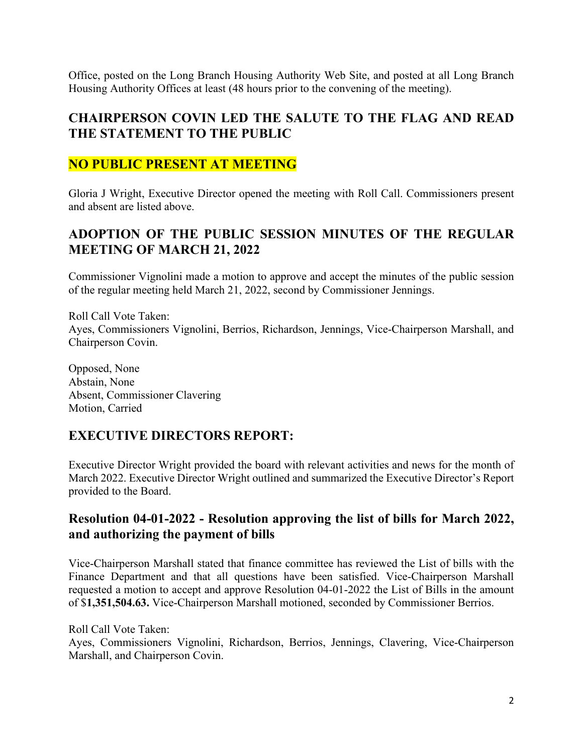Office, posted on the Long Branch Housing Authority Web Site, and posted at all Long Branch Housing Authority Offices at least (48 hours prior to the convening of the meeting).

### **CHAIRPERSON COVIN LED THE SALUTE TO THE FLAG AND READ THE STATEMENT TO THE PUBLIC**

## **NO PUBLIC PRESENT AT MEETING**

Gloria J Wright, Executive Director opened the meeting with Roll Call. Commissioners present and absent are listed above.

## **ADOPTION OF THE PUBLIC SESSION MINUTES OF THE REGULAR MEETING OF MARCH 21, 2022**

Commissioner Vignolini made a motion to approve and accept the minutes of the public session of the regular meeting held March 21, 2022, second by Commissioner Jennings.

Roll Call Vote Taken: Ayes, Commissioners Vignolini, Berrios, Richardson, Jennings, Vice-Chairperson Marshall, and Chairperson Covin.

Opposed, None Abstain, None Absent, Commissioner Clavering Motion, Carried

# **EXECUTIVE DIRECTORS REPORT:**

Executive Director Wright provided the board with relevant activities and news for the month of March 2022. Executive Director Wright outlined and summarized the Executive Director's Report provided to the Board.

#### **Resolution 04-01-2022 - Resolution approving the list of bills for March 2022, and authorizing the payment of bills**

Vice-Chairperson Marshall stated that finance committee has reviewed the List of bills with the Finance Department and that all questions have been satisfied. Vice-Chairperson Marshall requested a motion to accept and approve Resolution 04-01-2022 the List of Bills in the amount of \$**1,351,504.63.** Vice-Chairperson Marshall motioned, seconded by Commissioner Berrios.

Roll Call Vote Taken:

Ayes, Commissioners Vignolini, Richardson, Berrios, Jennings, Clavering, Vice-Chairperson Marshall, and Chairperson Covin.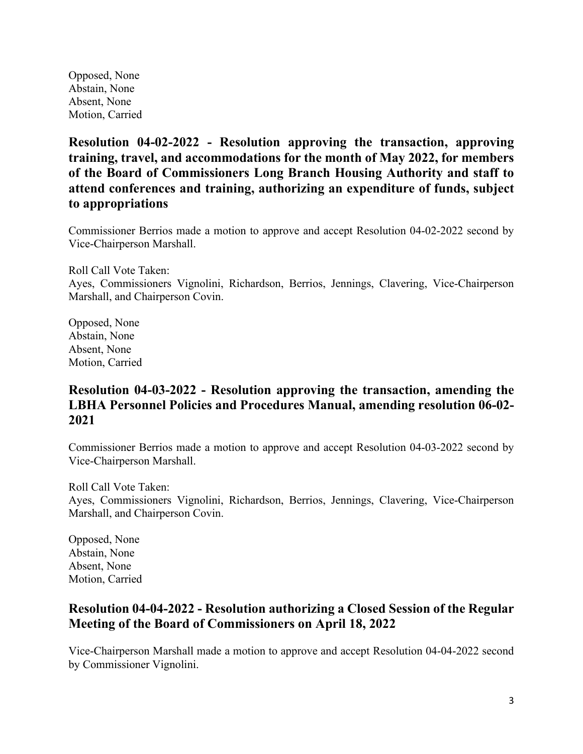Opposed, None Abstain, None Absent, None Motion, Carried

**Resolution 04-02-2022 - Resolution approving the transaction, approving training, travel, and accommodations for the month of May 2022, for members of the Board of Commissioners Long Branch Housing Authority and staff to attend conferences and training, authorizing an expenditure of funds, subject to appropriations**

Commissioner Berrios made a motion to approve and accept Resolution 04-02-2022 second by Vice-Chairperson Marshall.

Roll Call Vote Taken: Ayes, Commissioners Vignolini, Richardson, Berrios, Jennings, Clavering, Vice-Chairperson Marshall, and Chairperson Covin.

Opposed, None Abstain, None Absent, None Motion, Carried

## **Resolution 04-03-2022 - Resolution approving the transaction, amending the LBHA Personnel Policies and Procedures Manual, amending resolution 06-02- 2021**

Commissioner Berrios made a motion to approve and accept Resolution 04-03-2022 second by Vice-Chairperson Marshall.

Roll Call Vote Taken: Ayes, Commissioners Vignolini, Richardson, Berrios, Jennings, Clavering, Vice-Chairperson Marshall, and Chairperson Covin.

Opposed, None Abstain, None Absent, None Motion, Carried

### **Resolution 04-04-2022 - Resolution authorizing a Closed Session of the Regular Meeting of the Board of Commissioners on April 18, 2022**

Vice-Chairperson Marshall made a motion to approve and accept Resolution 04-04-2022 second by Commissioner Vignolini.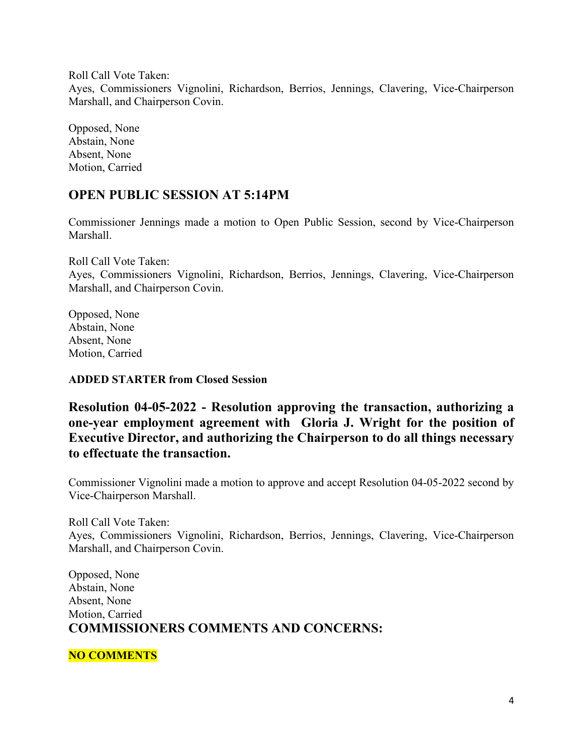Roll Call Vote Taken:

Ayes, Commissioners Vignolini, Richardson, Berrios, Jennings, Clavering, Vice-Chairperson Marshall, and Chairperson Covin.

Opposed, None Abstain, None Absent, None Motion, Carried

## **OPEN PUBLIC SESSION AT 5:14PM**

Commissioner Jennings made a motion to Open Public Session, second by Vice-Chairperson Marshall.

Roll Call Vote Taken: Ayes, Commissioners Vignolini, Richardson, Berrios, Jennings, Clavering, Vice-Chairperson Marshall, and Chairperson Covin.

Opposed, None Abstain, None Absent, None Motion, Carried

#### **ADDED STARTER from Closed Session**

**Resolution 04-05-2022 - Resolution approving the transaction, authorizing a one-year employment agreement with Gloria J. Wright for the position of Executive Director, and authorizing the Chairperson to do all things necessary to effectuate the transaction.** 

Commissioner Vignolini made a motion to approve and accept Resolution 04-05-2022 second by Vice-Chairperson Marshall.

Roll Call Vote Taken: Ayes, Commissioners Vignolini, Richardson, Berrios, Jennings, Clavering, Vice-Chairperson Marshall, and Chairperson Covin.

Opposed, None Abstain, None Absent, None Motion, Carried **COMMISSIONERS COMMENTS AND CONCERNS:**

#### **NO COMMENTS**